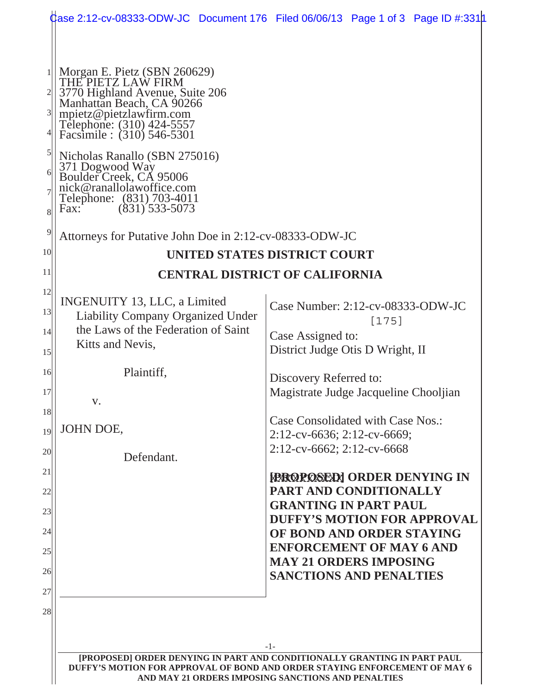|                                                                                                                                                                                                          | <b>Case 2:12-cv-08333-ODW-JC</b> Document 176 Filed 06/06/13 Page 1 of 3 Page ID #:331 <b>1</b>                                                                                                                                    |
|----------------------------------------------------------------------------------------------------------------------------------------------------------------------------------------------------------|------------------------------------------------------------------------------------------------------------------------------------------------------------------------------------------------------------------------------------|
|                                                                                                                                                                                                          |                                                                                                                                                                                                                                    |
| Morgan E. Pietz (SBN 260629)<br>THE PIETZ LAW FIRM<br>3770 Highland Avenue, Suite 206<br>Manhattan Beach, CA 90266<br>mpietz@pietzlawfirm.com<br>Telephone: (310) 424-5557<br>Facsimile : (310) 546-5301 |                                                                                                                                                                                                                                    |
| Nicholas Ranallo (SBN 275016)<br>371 Dogwood Way<br>Boulder Creek, CA 95006<br>nick@ranallolawoffice.com<br>Telephone: (831) 703-4011<br>$(831)$ 533-5073<br>Fax:                                        |                                                                                                                                                                                                                                    |
| Attorneys for Putative John Doe in 2:12-cv-08333-ODW-JC                                                                                                                                                  |                                                                                                                                                                                                                                    |
|                                                                                                                                                                                                          | UNITED STATES DISTRICT COURT                                                                                                                                                                                                       |
|                                                                                                                                                                                                          | <b>CENTRAL DISTRICT OF CALIFORNIA</b>                                                                                                                                                                                              |
| INGENUITY 13, LLC, a Limited<br><b>Liability Company Organized Under</b><br>the Laws of the Federation of Saint<br>Kitts and Nevis,                                                                      | Case Number: 2:12-cv-08333-ODW-JC<br>$[175]$<br>Case Assigned to:<br>District Judge Otis D Wright, II                                                                                                                              |
| Plaintiff,<br>v.                                                                                                                                                                                         | Discovery Referred to:<br>Magistrate Judge Jacqueline Chooljian                                                                                                                                                                    |
| JOHN DOE,                                                                                                                                                                                                | Case Consolidated with Case Nos.:<br>$2:12$ -cv-6636; 2:12-cv-6669;<br>2:12-cv-6662; 2:12-cv-6668                                                                                                                                  |
| Defendant.                                                                                                                                                                                               | <b>FROPOSEDI ORDER DENYING IN</b><br>PART AND CONDITIONALLY<br><b>GRANTING IN PART PAUL</b><br><b>DUFFY'S MOTION FOR APPROVAL</b><br>OF BOND AND ORDER STAYING<br><b>ENFORCEMENT OF MAY 6 AND</b><br><b>MAY 21 ORDERS IMPOSING</b> |
|                                                                                                                                                                                                          | <b>SANCTIONS AND PENALTIES</b><br>-1-<br>[PROPOSED] ORDER DENYING IN PART AND CONDITIONALLY GRANTING IN PART PAUL                                                                                                                  |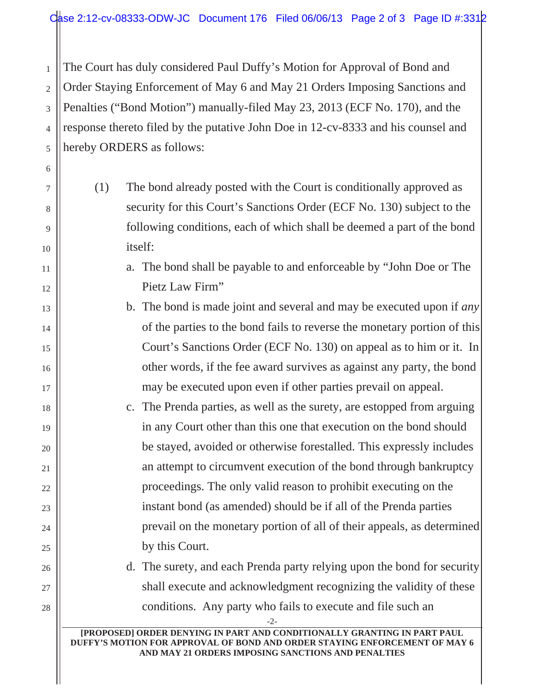2 3 4 5 The Court has duly considered Paul Duffy's Motion for Approval of Bond and Order Staying Enforcement of May 6 and May 21 Orders Imposing Sanctions and Penalties ("Bond Motion") manually-filed May 23, 2013 (ECF No. 170), and the response thereto filed by the putative John Doe in 12-cv-8333 and his counsel and hereby ORDERS as follows:

1

6

7

8

9

10

11

12

13

14

15

16

17

18

19

20

21

22

23

24

25

26

27

28

- (1) The bond already posted with the Court is conditionally approved as security for this Court's Sanctions Order (ECF No. 130) subject to the following conditions, each of which shall be deemed a part of the bond itself:
	- a. The bond shall be payable to and enforceable by "John Doe or The Pietz Law Firm"
	- b. The bond is made joint and several and may be executed upon if *any* of the parties to the bond fails to reverse the monetary portion of this Court's Sanctions Order (ECF No. 130) on appeal as to him or it. In other words, if the fee award survives as against any party, the bond may be executed upon even if other parties prevail on appeal.
	- c. The Prenda parties, as well as the surety, are estopped from arguing in any Court other than this one that execution on the bond should be stayed, avoided or otherwise forestalled. This expressly includes an attempt to circumvent execution of the bond through bankruptcy proceedings. The only valid reason to prohibit executing on the instant bond (as amended) should be if all of the Prenda parties prevail on the monetary portion of all of their appeals, as determined by this Court.

d. The surety, and each Prenda party relying upon the bond for security shall execute and acknowledgment recognizing the validity of these conditions. Any party who fails to execute and file such an

-2-